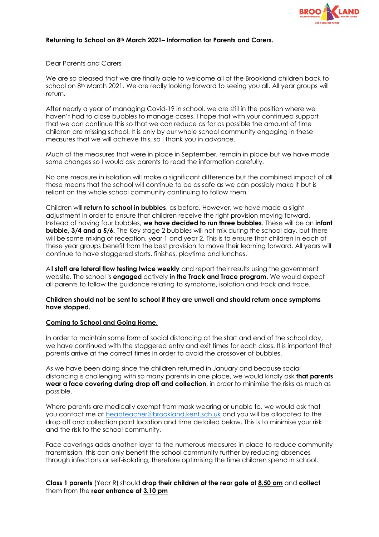

# **Returning to School on 8th March 2021– Information for Parents and Carers.**

# Dear Parents and Carers

We are so pleased that we are finally able to welcome all of the Brookland children back to school on 8<sup>th</sup> March 2021. We are really looking forward to seeing you all. All year groups will return.

After nearly a year of managing Covid-19 in school, we are still in the position where we haven't had to close bubbles to manage cases. I hope that with your continued support that we can continue this so that we can reduce as far as possible the amount of time children are missing school. It is only by our whole school community engaging in these measures that we will achieve this, so I thank you in advance.

Much of the measures that were in place in September, remain in place but we have made some changes so I would ask parents to read the information carefully.

No one measure in isolation will make a significant difference but the combined impact of all these means that the school will continue to be as safe as we can possibly make it but is reliant on the whole school community continuing to follow them.

Children will **return to school in bubbles**, as before. However, we have made a slight adjustment in order to ensure that children receive the right provision moving forward. Instead of having four bubbles, **we have decided to run three bubbles**. These will be an **infant bubble, 3/4 and a 5/6.** The Key stage 2 bubbles will not mix during the school day, but there will be some mixing of reception, year 1 and year 2. This is to ensure that children in each of these year groups benefit from the best provision to move their learning forward. All years will continue to have staggered starts, finishes, playtime and lunches.

All **staff are lateral flow testing twice weekly** and report their results using the government website. The school is **engaged** actively **in the Track and Trace program**. We would expect all parents to follow the guidance relating to symptoms, isolation and track and trace.

### **Children should not be sent to school if they are unwell and should return once symptoms have stopped.**

### **Coming to School and Going Home.**

In order to maintain some form of social distancing at the start and end of the school day, we have continued with the staggered entry and exit times for each class. It is important that parents arrive at the correct times in order to avoid the crossover of bubbles.

As we have been doing since the children returned in January and because social distancing is challenging with so many parents in one place, we would kindly ask **that parents wear a face covering during drop off and collection**, in order to minimise the risks as much as possible.

Where parents are medically exempt from mask wearing or unable to, we would ask that you contact me at [headteacher@brookland.kent.sch.uk](mailto:headteacher@brookland.kent.sch.uk) and you will be allocated to the drop off and collection point location and time detailed below. This is to minimise your risk and the risk to the school community.

Face coverings adds another layer to the numerous measures in place to reduce community transmission, this can only benefit the school community further by reducing absences through infections or self-isolating, therefore optimising the time children spend in school.

**Class 1 parents** (Year R) should **drop their children at the rear gate at 8.50 am** and **collect**  them from the **rear entrance at 3.10 pm**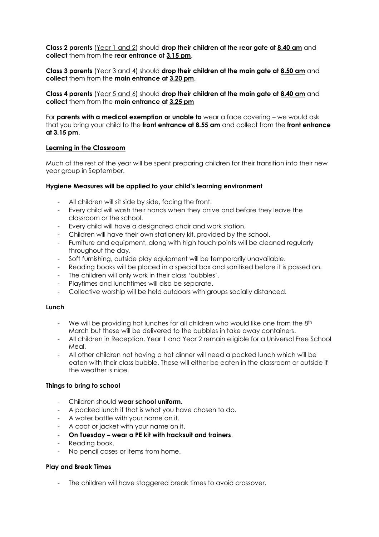**Class 2 parents** (Year 1 and 2) should **drop their children at the rear gate at 8.40 am** and **collect** them from the **rear entrance at 3.15 pm**.

**Class 3 parents** (Year 3 and 4) should **drop their children at the main gate at 8.50 am** and **collect** them from the **main entrance at 3.20 pm**.

**Class 4 parents** (Year 5 and 6) should **drop their children at the main gate at 8.40 am** and **collect** them from the **main entrance at 3.25 pm**

For **parents with a medical exemption or unable to** wear a face covering – we would ask that you bring your child to the **front entrance at 8.55 am** and collect from the **front entrance at 3.15 pm**.

### **Learning in the Classroom**

Much of the rest of the year will be spent preparing children for their transition into their new year group in September.

#### **Hygiene Measures will be applied to your child's learning environment**

- All children will sit side by side, facing the front.
- Every child will wash their hands when they arrive and before they leave the classroom or the school.
- Every child will have a designated chair and work station.
- Children will have their own stationery kit, provided by the school.
- Furniture and equipment, along with high touch points will be cleaned regularly throughout the day.
- Soft furnishing, outside play equipment will be temporarily unavailable.
- Reading books will be placed in a special box and sanitised before it is passed on.
- The children will only work in their class 'bubbles'.
- Playtimes and lunchtimes will also be separate.
- Collective worship will be held outdoors with groups socially distanced.

#### **Lunch**

- We will be providing hot lunches for all children who would like one from the 8<sup>th</sup> March but these will be delivered to the bubbles in take away containers.
- All children in Reception, Year 1 and Year 2 remain eligible for a Universal Free School Meal.
- All other children not having a hot dinner will need a packed lunch which will be eaten with their class bubble. These will either be eaten in the classroom or outside if the weather is nice.

#### **Things to bring to school**

- Children should **wear school uniform.**
- A packed lunch if that is what you have chosen to do.
- A water bottle with your name on it.
- A coat or jacket with your name on it.
- **On Tuesday – wear a PE kit with tracksuit and trainers**.
- Reading book.
- No pencil cases or items from home.

#### **Play and Break Times**

- The children will have staggered break times to avoid crossover.